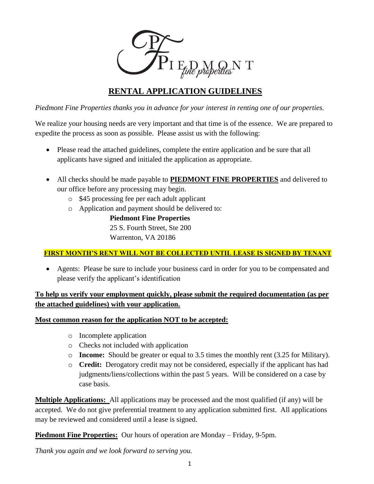

# **RENTAL APPLICATION GUIDELINES**

*Piedmont Fine Properties thanks you in advance for your interest in renting one of our properties.*

We realize your housing needs are very important and that time is of the essence. We are prepared to expedite the process as soon as possible. Please assist us with the following:

- Please read the attached guidelines, complete the entire application and be sure that all applicants have signed and initialed the application as appropriate.
- All checks should be made payable to **PIEDMONT FINE PROPERTIES** and delivered to our office before any processing may begin.
	- o \$45 processing fee per each adult applicant
	- o Application and payment should be delivered to:

**Piedmont Fine Properties** 25 S. Fourth Street, Ste 200 Warrenton, VA 20186

# **FIRST MONTH'S RENT WILL NOT BE COLLECTED UNTIL LEASE IS SIGNED BY TENANT**

 Agents: Please be sure to include your business card in order for you to be compensated and please verify the applicant's identification

# **To help us verify your employment quickly, please submit the required documentation (as per the attached guidelines) with your application.**

## **Most common reason for the application NOT to be accepted:**

- o Incomplete application
- o Checks not included with application
- o **Income:** Should be greater or equal to 3.5 times the monthly rent (3.25 for Military).
- o **Credit:** Derogatory credit may not be considered, especially if the applicant has had judgments/liens/collections within the past 5 years. Will be considered on a case by case basis.

**Multiple Applications:** All applications may be processed and the most qualified (if any) will be accepted. We do not give preferential treatment to any application submitted first. All applications may be reviewed and considered until a lease is signed.

**Piedmont Fine Properties:** Our hours of operation are Monday – Friday, 9-5pm.

*Thank you again and we look forward to serving you.*